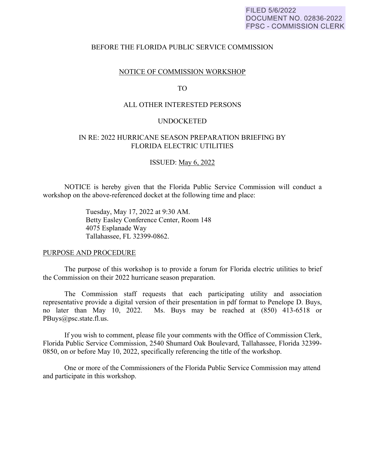### FILED 5/6/2022 DOCUMENT NO. 02836-2022 **FPSC - COMMISSION CLERK**

#### BEFORE THE FLORIDA PUBLIC SERVICE COMMISSION

#### NOTICE OF COMMISSION WORKSHOP

### TO

### ALL OTHER INTERESTED PERSONS

#### UNDOCKETED

## IN RE: 2022 HURRICANE SEASON PREPARATION BRIEFING BY FLORIDA ELECTRIC UTILITIES

#### ISSUED: May 6, 2022

NOTICE is hereby given that the Florida Public Service Commission will conduct a workshop on the above-referenced docket at the following time and place:

> Tuesday, May 17, 2022 at 9:30 AM. Betty Easley Conference Center, Room 148 4075 Esplanade Way Tallahassee, FL 32399-0862.

#### PURPOSE AND PROCEDURE

 The purpose of this workshop is to provide a forum for Florida electric utilities to brief the Commission on their 2022 hurricane season preparation.

 The Commission staff requests that each participating utility and association representative provide a digital version of their presentation in pdf format to Penelope D. Buys, no later than May 10, 2022. Ms. Buys may be reached at (850) 413-6518 or PBuys@psc.state.fl.us.

 If you wish to comment, please file your comments with the Office of Commission Clerk, Florida Public Service Commission, 2540 Shumard Oak Boulevard, Tallahassee, Florida 32399- 0850, on or before May 10, 2022, specifically referencing the title of the workshop.

 One or more of the Commissioners of the Florida Public Service Commission may attend and participate in this workshop.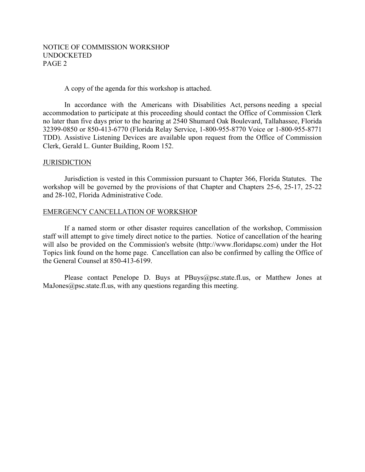# NOTICE OF COMMISSION WORKSHOP UNDOCKETED PAGE 2

### A copy of the agenda for this workshop is attached.

 In accordance with the Americans with Disabilities Act, persons needing a special accommodation to participate at this proceeding should contact the Office of Commission Clerk no later than five days prior to the hearing at 2540 Shumard Oak Boulevard, Tallahassee, Florida 32399-0850 or 850-413-6770 (Florida Relay Service, 1-800-955-8770 Voice or 1-800-955-8771 TDD). Assistive Listening Devices are available upon request from the Office of Commission Clerk, Gerald L. Gunter Building, Room 152.

### **JURISDICTION**

 Jurisdiction is vested in this Commission pursuant to Chapter 366, Florida Statutes. The workshop will be governed by the provisions of that Chapter and Chapters 25-6, 25-17, 25-22 and 28-102, Florida Administrative Code.

### EMERGENCY CANCELLATION OF WORKSHOP

If a named storm or other disaster requires cancellation of the workshop, Commission staff will attempt to give timely direct notice to the parties. Notice of cancellation of the hearing will also be provided on the Commission's website (http://www.floridapsc.com) under the Hot Topics link found on the home page. Cancellation can also be confirmed by calling the Office of the General Counsel at 850-413-6199.

Please contact Penelope D. Buys at PBuys@psc.state.fl.us, or Matthew Jones at MaJones $@$ psc.state.fl.us, with any questions regarding this meeting.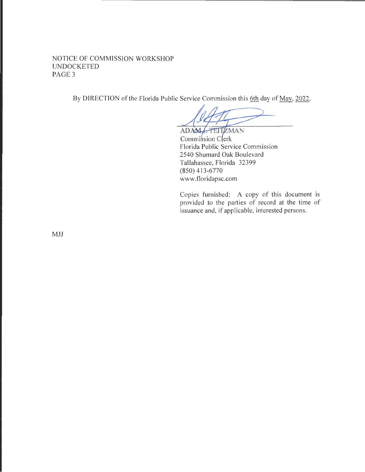NOTICE OF COMMISSION WORKSHOP UNDOCKETED PAGE<sub>3</sub>

By DIRECTION of the Florida Public Service Commission this 6th day of May, 2022.

ADAM FEITZMAN Commission Clerk Florida Public Service Commission 2540 Shumard Oak Boulevard Tallahassee, Florida 32399 (850) 413-6770 www.floridapsc.com

Copies furnished: A copy of this document is provided to the parties of record at the time of issuance and, if applicable, interested persons.

MJJ